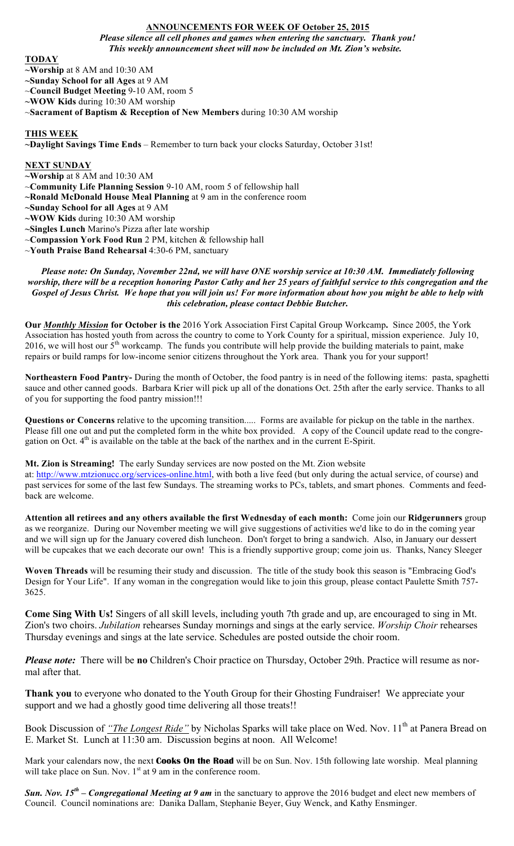## **ANNOUNCEMENTS FOR WEEK OF October 25, 2015**

*Please silence all cell phones and games when entering the sanctuary. Thank you! This weekly announcement sheet will now be included on Mt. Zion's website.*

### **TODAY**

**~Worship** at 8 AM and 10:30 AM

**~Sunday School for all Ages** at 9 AM

~**Council Budget Meeting** 9-10 AM, room 5

**~WOW Kids** during 10:30 AM worship

~**Sacrament of Baptism & Reception of New Members** during 10:30 AM worship

## **THIS WEEK**

**~Daylight Savings Time Ends** – Remember to turn back your clocks Saturday, October 31st!

#### **NEXT SUNDAY**

- **~Worship** at 8 AM and 10:30 AM
- ~**Community Life Planning Session** 9-10 AM, room 5 of fellowship hall
- **~Ronald McDonald House Meal Planning** at 9 am in the conference room
- **~Sunday School for all Ages** at 9 AM
- **~WOW Kids** during 10:30 AM worship
- **~Singles Lunch** Marino's Pizza after late worship
- ~**Compassion York Food Run** 2 PM, kitchen & fellowship hall
- ~**Youth Praise Band Rehearsal** 4:30-6 PM, sanctuary

*Please note: On Sunday, November 22nd, we will have ONE worship service at 10:30 AM. Immediately following worship, there will be a reception honoring Pastor Cathy and her 25 years of faithful service to this congregation and the Gospel of Jesus Christ. We hope that you will join us! For more information about how you might be able to help with this celebration, please contact Debbie Butcher.*

**Our** *Monthly Mission* **for October is the** 2016 York Association First Capital Group Workcamp**.** Since 2005, the York Association has hosted youth from across the country to come to York County for a spiritual, mission experience. July 10, 2016, we will host our  $5<sup>th</sup>$  workcamp. The funds you contribute will help provide the building materials to paint, make repairs or build ramps for low-income senior citizens throughout the York area. Thank you for your support!

**Northeastern Food Pantry-** During the month of October, the food pantry is in need of the following items: pasta, spaghetti sauce and other canned goods. Barbara Krier will pick up all of the donations Oct. 25th after the early service. Thanks to all of you for supporting the food pantry mission!!!

**Questions or Concerns** relative to the upcoming transition..... Forms are available for pickup on the table in the narthex. Please fill one out and put the completed form in the white box provided. A copy of the Council update read to the congregation on Oct. 4<sup>th</sup> is available on the table at the back of the narthex and in the current E-Spirit.

**Mt. Zion is Streaming!** The early Sunday services are now posted on the Mt. Zion website

at: http://www.mtzionucc.org/services-online.html, with both a live feed (but only during the actual service, of course) and past services for some of the last few Sundays. The streaming works to PCs, tablets, and smart phones. Comments and feedback are welcome.

**Attention all retirees and any others available the first Wednesday of each month:** Come join our **Ridgerunners** group as we reorganize. During our November meeting we will give suggestions of activities we'd like to do in the coming year and we will sign up for the January covered dish luncheon. Don't forget to bring a sandwich. Also, in January our dessert will be cupcakes that we each decorate our own! This is a friendly supportive group; come join us. Thanks, Nancy Sleeger

**Woven Threads** will be resuming their study and discussion. The title of the study book this season is "Embracing God's Design for Your Life". If any woman in the congregation would like to join this group, please contact Paulette Smith 757- 3625.

**Come Sing With Us!** Singers of all skill levels, including youth 7th grade and up, are encouraged to sing in Mt. Zion's two choirs. *Jubilation* rehearses Sunday mornings and sings at the early service. *Worship Choir* rehearses Thursday evenings and sings at the late service. Schedules are posted outside the choir room.

*Please note:* There will be **no** Children's Choir practice on Thursday, October 29th. Practice will resume as normal after that.

**Thank you** to everyone who donated to the Youth Group for their Ghosting Fundraiser! We appreciate your support and we had a ghostly good time delivering all those treats!!

Book Discussion of *"The Longest Ride"* by Nicholas Sparks will take place on Wed. Nov. 11<sup>th</sup> at Panera Bread on E. Market St. Lunch at 11:30 am. Discussion begins at noon. All Welcome!

Mark your calendars now, the next **Cooks On the Road** will be on Sun. Nov. 15th following late worship. Meal planning will take place on Sun. Nov.  $1<sup>st</sup>$  at 9 am in the conference room.

*Sun. Nov. 15th – Congregational Meeting at 9 am* in the sanctuary to approve the 2016 budget and elect new members of Council. Council nominations are: Danika Dallam, Stephanie Beyer, Guy Wenck, and Kathy Ensminger.